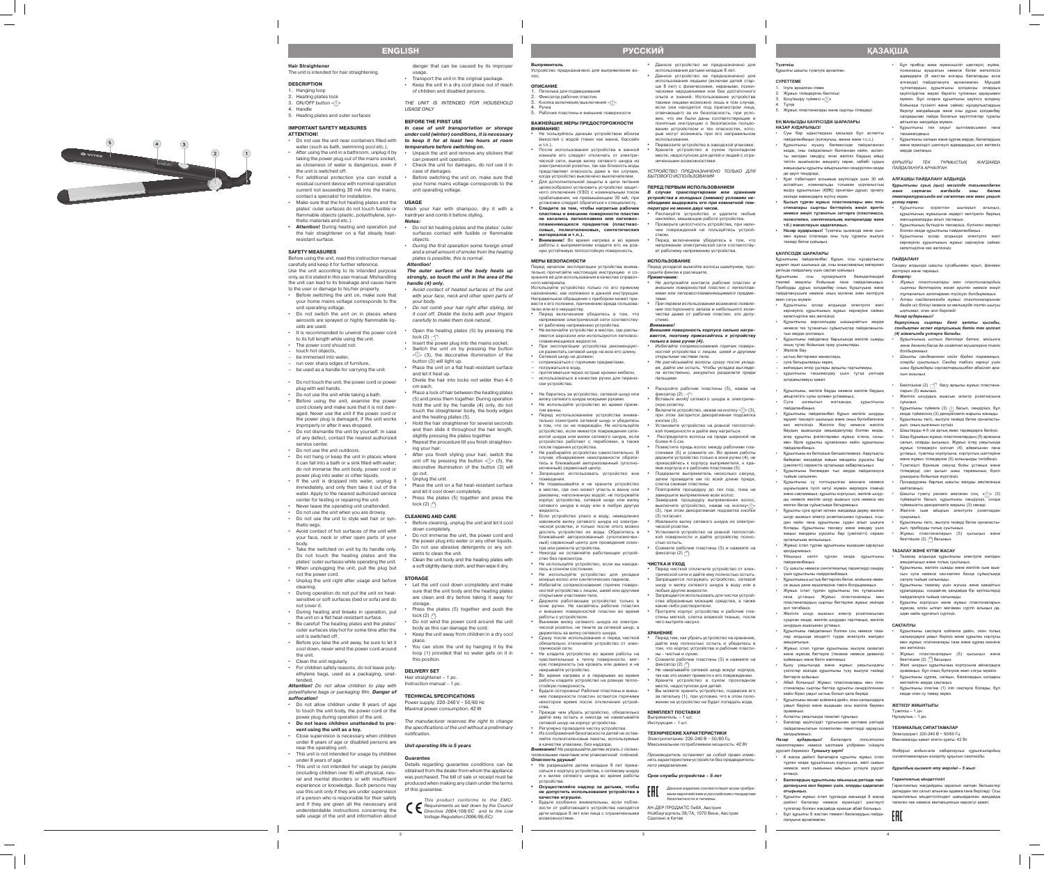### **Hair Straightene** The unit is intended for hair straightening.

- **DESCRIPTION**
- 1. Hanging loop Heating plates lock
- 3. ON/OFF button « $\mathbb{I}$ »

- 4. Handle 5. Heating plates and outer surfaces
- 

### **IMPORTANT SAFETY MEASURES ATTENTION!**

- • Do not use the unit near containers filled with
- water (such as bath, swimming pool etc.). After using the unit in a bathroom, unplug it by taking the power plug out of the mains socket as closeness of water is dangerous, even if the unit is switched off.
- For additional protection you can install a residual current device with nominal operation current not exceeding 30 mA into the mains; contact a specialist for installation.
- • Make sure that the hot heating plates and the plates' outer surfaces do not touch fusible or flammable objects (plastic, polyethylene, synthetic materials and etc.).
- **• Attention!** During heating and operation put the hair straightener on a flat steady heatresistant surface.

### **SAFETY MEASURES**

Before using the unit, read this instruction manual carefully and keep it for further reference. Use the unit according to its intended purpose only, as it is stated in this user manual. Mishandling the unit can lead to its breakage and cause harm

- Transport the unit in the original package. • Keep the unit in a dry cool place out of reach of children and disabled persons.
- THE UNIT IS INTENDED FOR HOUSEHOLD

# . Ручка

- to the user or damage to his/her property. • Before switching the unit on, make sure that your home mains voltage corresponds to the unit operating voltage.
- Do not switch the unit on in places where aerosols are sprayed or highly flammable liq-
- uids are used. • It is recommended to unwind the power cord to its full length while using the unit.
- The power cord should not:
- touch hot objects,
- be immersed into water, – run over sharp edges of furniture,
- be used as a handle for carrying the unit.
- • Do not touch the unit, the power cord or power
- plug with wet hands. Do not use the unit while taking a bath.
- • Before using the unit, examine the power cord closely and make sure that it is not damaged. Never use the unit if the power cord or the power plug is damaged, if the unit works improperly or after it was dropped.
- • Do not dismantle the unit by yourself. In case of any defect, contact the nearest authorized service center. • Do not use the unit outdoors.
- • Do not hang or keep the unit in places where it can fall into a bath or a sink filled with water; do not immerse the unit body, power cord or power plug into water or other liquids.
- • If the unit is dropped into water, unplug it immediately, and only then take it out of the water. Apply to the nearest authorized service center for testing or repairing the unit.
- • Never leave the operating unit unattended.
- • Do not use the unit when you are drowsy. • Do not use the unit to style wet hair or syn-
- thetic wigs. • Avoid contact of hot surfaces of the unit with your face, neck or other open parts of your
- body. Take the switched on unit by its handle only.
- Do not touch the heating plates and the plates' outer surfaces while operating the unit.
- When unplugging the unit, pull the plug but not the power cord. • Unplug the unit right after usage and before
- cleaning. • During operation do not put the unit on heat-
- sensitive or soft surfaces (bed or sofa) and do not cover it. • During heating and breaks in operation, put
- the unit on a flat h • Be careful! The heating plates and the plates' outer surfaces stay hot for some time after the
- unit is switched off. Before you take the unit away, be sure to let it cool down, never wind the power cord around
- the unit. • Clean the unit regularly.
- • For children safety reasons, do not leave poly-
- ethylene bags, used as a packaging, unattended.
- • Do not let heating plates and the plates' outer surfaces contact with fusible or flammable objects.
- *During the first operation some foreign smell* and a small amount of smoke from the heating plates is possible, this is normal.
- **Attention! The outer surface of the body heats up strongly, so touch the unit in the area of the**
- **handle (4) only.** *•*  Avoid contact of heated surfaces of the unit with your face, neck and other open parts of
- your body. Do not comb your hair right after styling, let it cool off. Divide the locks with your fingers carefully to make them look natural.
- Open the heating plates (5) by pressing the  $lock(2)$   $\cap$
- Insert the power plug into the mains socket. • Switch the unit on by pressing the button ляются аэрозоли или используются легковосламеняющиеся жидкости. При эксплуатации устройства рекомендует ся размотать сетевой шнур на всю его длину.
- $\langle \mathbb{S}^n \rangle$  (3), the decorative illumination of the button (3) will light up.
- Place the unit on a flat heat-resistant surface and let it heat up. Divide the hair into locks not wider than 4-5
- cm each. **Place a lock of hair between the heating plates** (5) and press them together. During operation hold the unit by the handle (4) only, do not touch the straightener body, the body edges
- and the heating plates (5). Hold the hair straightener for several seconds and then slide it throughout the hair length,
- slightly pressing the plates together. Repeat the procedure till you finish straightening your hair.
- After you finish styling your hair, switch the unit off by pressing the button  $\sqrt[n]{\mathbb{R}}$  (3), the decorative illumination of the button (3) will go out.
- Unplug the unit.

lock  $(2)$   $\curvearrowright$ .

- Place the unit on a flat heat-resistant surface and let it cool down completely. Press the plates (5) together and press the
- 

- Before cleaning, unplug the unit and let it cool down completely. Do not immerse the unit, the power cord and
- the power plug into water or any other liquids. Do not use abrasive detergents or any sol-
- vents to clean the unit. Clean the unit body and the heating plates with a soft slightly damp cloth, and then wipe it dry.

### **Attention!** Do not allow children to play with polyethylene bags or packaging film. **Danger of suffocation!**

- Let the unit cool down completely and make sure that the unit body and the heating plates are clean and dry before taking it away for
- storage. Press the plates (5) together and push the  $lock(2)$   $^{\circ}$
- Do not wind the power cord around the unit body as this can damage the cord.
- Keep the unit away from children in a dry cool place. You can store the unit by hanging it by the
- loop (1) provided that no water gets on it in this position.

- • Do not allow children under 8 years of age to touch the unit body, the power cord or the
- power plug during operation of the unit. **• Do not leave children unattended to pre-**
- **vent using the unit as a toy.** Close supervision is necessary when children
- under 8 years of age or disabled persons are near the operating unit. • This unit is not intended for usage by children
- under 8 years of age. This unit is not intended for usage by people (including children over 8) with physical, neural and mental disorders or with insufficient experience or knowledge. Such persons may use this unit only if they are under supervision of a person who is responsible for their safety and if they are given all the necessary and understandable instructions concerning the safe usage of the unit and information about
- 1. Петелька для подвешивания 2. Фиксатор рабочих пластин
- . Кнопка включения/выключения « »

Не пользуйтесь данным устройством вблизи ёмкостей с водой (таких как ванна, бассейн

После использования устройства в ванной комнате его следует отключать от электрической сети, вынув вилку сетевого шнура из

электрической розетки, так как близость воды представляет опасность даже в тех случаях, когда устройство выключено выключателем. Для дополнительной защиты в цепи питания

целесообразно установить устройство защитного отключения (УЗО) с номинальным током срабатывания, не превышающим 30 мА; при установке следует обратиться к специалисту. **• Следите за тем, чтобы нагретые рабочие пластины и внешние поверхности пластин не касались легкоплавких или легковос** 

# danger that can be caused by its improper usage.

**пламеняющихся предметов (пластмассовых, полиэтиленовых, синтетических Внимание!** Во время нагрева и во время

USAGE ONLY

### **BEFORE THE FIRST USE**

**In case of unit transportation or storage under cold (winter) conditions, it is necessary to keep it for at least two hours at room temperature before switching on.**

- • Unpack the unit and remove any stickers that can prevent unit operation.
- Check the unit for damages, do not use it in case of damages.
- Before switching the unit on, make sure that your home mains voltage corresponds to the

unit operating voltage.

# **USAGE**

Wash your hair with shampoo, dry it with a hairdryer and comb it before styling. **Notes:** 

> Перед использованием устройства внимательно осмотрите сетевой шнур и убедитесь в том, что он не повреждён. Не используйте устройство, если имеются повреждения сетевогой шнура или вилки сетевого шнура, если устройство работает с перебоями, а также

Не подвешивайте и не храните устройство в местах, где оно может упасть в ванну или раковину, наполненную водой; не погружайте корпус устройства, сетевой шнур или вилку сетевого шнура в воду или в любую другую

Держите работающее устройство только в зоне ручки. Не касайтесь рабочих пластин и внешних поверхностей пластин во время

Во время нагрева и в перерывах во время работы кладите устройство на ровную тепло-

Бульте осторожны! Рабочие пластины и внешние поверхности пластин остаются горячими некоторое время после отключения устрой-

сетевой шнур на корпус устройства. Регулярно проводите чистку устройства.

Не разрешайте детям младше 8 лет прикасаться к корпусу устройства, к сетевому шнуру и к вилке сетевого шнура во время работы

# **CLEANING AND CARE**

• Данное устройство не предназначено для использования детьми младше 8 лет. • Данное устройство не предназначено для использования людьми (включая детей старше 8 лет) с физическими, нервными, психическими нарушениями или без достаточного опыта и знаний. Использование устройства такими лицами возможно лишь в том случае, если они находятся под присмотром лица, отвечающего за их безопасность, при условии, что им были даны соответствующие и понятные инструкции о безопасном пользовании устройством и тех опасностях, которые могут возникать при его неправильном

# **STORAGE**

### .<br>Внешняя поверхность корпуса сильно нагре **вается, поэтому прикасайтесь к устройству только в зоне ручки (4).**

- **Избегайте соприкоснов** ностей устройства с лицом, шеей и другими открытыми частями тела.
- *•*  Не расчёсывайте волосы сразу после укладки, дайте им остыть. Чтобы укладка выглядела естественно, аккуратно разделите пряди пальцами.
- Раскройте рабочие пластины (5), нажав на фиксатор (2) . Вставьте вилку сетевого шнура в электриче
- скую розетку. **Включите устройство, нажав на кнопку «** $\mathbb{I}$ **» (3),** при этом загорится декоративная подсветка
- кнопки (3). Установите устройство на ровной теплостой
- кой поверхности и дайте ему нагреться. Распределите волосы на пряди шириной не более 4-5 см. Поместите прядь волос между рабочими пла-
- стинами (5) и сожмите их. Во время работы держите устройство только в зоне ручки (4), не прикасайтесь к корпусу выпрямителя, к краямв корпуса и к рабочим пластинам (5). Подержите выпрямитель несколько секунд
- затем проведите им по всей длине пряди, слегка сжимая пластины. Повторяйте процедуру до тех пор, пока не
- завершите выпрямление всех волос. Завершив процедуру выпрямления волос.
- выключите устройство, нажав на кнопку« $\mathbb U$ (3), при этом декоративная подсветка кнопки (3) погаснет.
- Извлеките вилку сетевого шнура из электри ческой розетки. Установите устройство на ровной теплостой кой поверхности и дайте устройству полно-
- стью остыть. Сожмите рабочие пластины (5) и нажмите на
- фиксатор  $(2)$

# **DELIVERY SET**

Hair straightener – 1 pc. Instruction manual – 1 pc.

# **TECHNICAL SPECIFICATIONS**

Power supply: 220-240 V ~ 50/60 Hz Maximal power consumption: 42 W

The manufacturer reserves the right to change the specifications of the unit without a preliminary notification.

## **Unit operating life is 5 years**

### **Guarantee**

Details regarding guarantee conditions can be obtained from the dealer from whom the appliance was purchased. The bill of sale or receipt must be produced when making any claim under the terms of this guarantee.

#### **ЧИСТКА И УХОД** Перед чисткой отключите устройство от элек-

This product conforms to the EMC-Requirements as laid down by the Council Directive 2004/108/EC and to the Low Voltage Regulation (2006/95/ЕС)

**ENGLISH**

#### **Выпрямитель** Устройство предназначено для выпрямления во-

### Сразу после использования и перед чисткой **ХРАНЕНИЕ**

лос.

# **ОПИСАНИЕ**

5. Рабочие пластины и внешние поверхности

### **ВАЖНЕЙШИЕ МЕРЫ ПРЕДОСТОРОЖНОСТИ ВНИМАНИЕ!**

- Перед тем, как убрать устройство на хранение дайте ему полностью остыть и убедитесь в том, что корпус устройства и рабочие пластины - чистые и сухие.
- Сожмите рабочие пластины (5) и нажмите на фиксатор  $(2)$
- Не наматывайте сетевой шнур вокруг корпуса, так как это может привести к его повреждению. • Храните устройство в сухом прохладном
- месте, недоступном для детей. Вы можете хранить устройство, подвесив его
- за петельку (1), при условии, что в этом положении на устройство не будет попадать вода **КОМПЛЕКТ ПОСТАВКИ**

и т.п.).

**материалов и т.п.).**

ную устойчивую теплостойкую поверхность.

**МЕРЫ БЕЗОПАСНОСТИ**

Перед началом эксплуатации устройства внимательно прочитайте настоящую инструкцию и сохраните её для использования в качестве справоч-

Используйте устройство только по его прямому назначению, как изложено в данной инструкции. Неправильное обращение с прибором может привести к его поломке, причинению вреда пользова-

Перед включением убедитесь в том, что напряжение электрической сети соответствует рабочему напряжению устройства. Не включайте устройство в местах, где распы-

телю или его имуществу.

• Сетевой шнур не должен:

– соприкасаться с горячими предметами,

– погружаться в воду,

– протягиваться через острые кромки мебели, – использоваться в качестве ручки для перено-

Не беритесь за устройство, сетевой шнур или вилку сетевого шнура мокрыми руками. Не используйте устройство во время приня-

ски устройства.

тия ванны.

после падения устройства.

• Не разбирайте устройство самостоятельно. В случае обнаружения неисправности обратитесь в ближайший авторизованный (уполно-

Запрещено использовать устройство вне

моченный) сервисный центр.

помещения.

жидкость.

.<br>ого материала.

• Если устройство упало в воду, немедленно извлеките вилку сетевого шнура из электрической розетки, и только после этого можно достать устройство из воды. Обратитесь в .<br>Ближайший авторизованный (уполномоче ный) сервисный центр для проведения осмо-

Никогда не оставляйте работающее устрой-

Не используйте устройство, если вы находи-

тра или ремонта устройства.

ство без присмотра.

тесь в сонном состоянии.

• Не используйте устройство для укладки мокрых волос или синтетических париков. Избегайте соприкосновения горячих поверхностей устройства с лицом, шеей или другими

открытыми участками тела.

работы с устройством.

работы с выпрямителем кладите его на ровчии повреждений не пользуйтесь устройством. Перед включением убедитесь в том, что напряжение электрической сети соответству-

ными возможностя

держитесь за вилку сетевого шнура.

обязательно отключайте устройство от элек-

трической сети.

• Не кладите устройство во время работы на чувствительные к теплу поверхности, мягкую поверхность (на кровать или диван) и не

накрывайте устройство.

стойкую поверхность.

Шаштарды 4-5 см артық емес тарамдарға бөлініз. Шаш бұрымын жұмыс пластиналардың (5) арасына салып, оларды қысыңыз. Жұмыс істеу уақытында жұмыс тілімдерін қолсап (4) аймағынан ғана ұстаңыз, түзеткіш корпусына, корпустың шеттеріне және жұмыс тілімдеріне (5) қолыңызды тигізбеңіз. Түзеткішті бірнеше секунд бойы ұстаңыз және тілімдерді сәл қысып шаш тарамының бүкіл

Процедураны барлық шашты жазуды аяқтағанша

Шашты түзету рәсімін аяқтаған соң, « $\lceil \frac{1}{2} \rceil$ » (3) түймешігін басып, құрылғыны сөндіріңіз, сонда түймешіктің декоративтік жарығы (3) сөнеді. Желілік сым айырын электрлік розеткадан

ства.

бекіткішке (2) <sup>(2)</sup> басыңыз. **ТАЗАЛАУ ЖӘНЕ КҮТІМ ЖАСАУ**

ляйте полиэтиленовые пакеты, используемые

Құрылғыны, желілік сымды және желілік сым ашасын суға немесе кез-келген басқа сұйықтыққа

в качестве упаковки, без надзора.

Құрылғыны тазалау үшін жуғыш және қажайтын құралдарды, сондай-ақ қандайда бір еріткіштерді

**Внимание!** Не разрешайте детям играть с полиэтиленовыми пакетами или упаковочной плёнкой.

**Опасность удушья!**

устройства.

# **• Осуществляйте надзор за детьми, чтобы**

2  $\sim$  3

Желі шнурын құрылғының корпусына айналдыра орамаңыз, бұл оның бүлінуіне әкеп соғуы мүмкін. • Құрылғыны құрғақ, салқын, балалардың қолдары

Құрылғыны ілгегіне (1) іліп сақтауға болады, бұл

**качестве игрушки.**

возможностями.

использовании.

• Перевозите устройство в заводской упаковке. Храните устройство в сухом прохладном месте, недоступном для детей и людей с огра-

УСТРОЙСТВО ПРЕДНАЗНАЧЕНО ТОЛЬКО ДЛЯ

Распакуйте устройство и удалите любые наклейки, мешающие работе устройства. Проверьте целостность устройства, при нали

БЫТОВОГО ИСПОЛЬЗОВАНИЯ

**ПЕРЕД ПЕРВЫМ ИСПОЛЬЗОВАНИЕМ В** случае транспортировки или хранени устройства в холодных (зимних) услов **обходимо выдержать его при комнатной тем-**

**пературе не менее двух часов.**

ет рабочему напряжению устройства.

## **ИСПОЛЬЗОВАНИЕ**

Перед укладкой вымойте волосы шампунем, проите феном и расчешите **Примечания:** 

- *•*  Не допускайте контакта рабочих пластин и внешних поверхностей пластин с легкоплавкими или легковоспламеняющимися предметами.
- *•*  При первом использовании возможно появление постороннего запаха и небольшого количества дыма от рабочих пластин, это допустимо. **Внимание!**

#### • Прежде чем убрать устройство, обязательно дайте ему остыть и никогда не наматывайте Выпрямитель – 1 шт.

• Из соображений безопасности детей не остав-Инструкция – 1 шт. **ТЕХНИЧЕСКИЕ ХАРАКТЕРИСТИКИ**

- **не допустить использования устройства в**  Будьте особенно внимательны, если поблизости от работающего устройства находятся
- дети младше 8 лет или лица с ограниченными АН-ДЕР ПРОДАКТС ГмбХ, Австрия Нойбаугюртель 38/7А, 1070 Вена, Австрия Сделано в Китае

опасности и гигиены

- трической сети и дайте ему полностью остыть. Запрещается погружать устройство, сетевой шнур и вилку сетевого шнура в воду или в любые другие жидкости.
- Запрещается использовать для чистки устрой ства абразивные моющие средства, а также
- какие-либо растворители. Протрите корпус устройства и рабочие пла-<mark>тины мягкой, слегка влажной тканью, пос</mark>ле
- Вынимая вилку сетевого шнура из электрической розетки, не тяните за сетевой шнур, а чего вытрите насухо.

### Электропитание: 220-240 В ~ 50/60 Гц Максимальная потребляемая мощность: 42 Вт

Производитель оставляет за собой право изменять характеристики устройств без предваритель ного уведомления.

## **Срок службы устройства – 5 лет**

Данное изделие соответствует всем требуемым европейским и российским стандартам

# **русский**

### **Түзеткіш** Құрылғы шашты түзетуге арналған.

# **СУРЕТТЕМЕ**

- 1. Ілуге арналған ілмек
- Жұмыс тілімдерінің бекіткіш Қосу/өшіру түймесі « $\mathbb{U}$ »
- 4. Тұтқа 5. Жұмыс пластиналары және сыртқы тілімдері
- 

### **ЕҢ МАҢЫЗДЫ ҚАУІПСІЗДІК ШАРАЛАРЫ НАЗАР АУДАРЫҢЫЗ!**

- • Суы бар ыдыстардың қасында бұл аспапты пайдаланбаңыз (қолжуғыш, ванна және т.с.с.). • Құрылғыны жуыну бөлмесінде пайдаланған
- кезде, оны пайдаланып болғаннан кейін, аспап ты желіден сөндіру, яғни желілік баудың айыр тетігін ашалықтан ажырату керек, себебі судың жақындығы құрылғы айырғышпен сөндірілген кезде де қауіп төндіреді;
- Куат тізбегіндегі қосымша қауіпсіздік үшін 30 мА аспайтын, номинальды тоғымен қорғаныстық өшіру құрылғысын (ҚӨҚ) орнатқан дұрыс; орнату кезінде мамандарға жүгіну керек.
- **• Қызып тұрған жұмыс пластиналары мен пластиналары сыртқы беттерінің жеңіл еритін немесе жеңіл тұтанатын заттарға (пластмасса, полиэтилен, синтетикалыөқ материалдар және т.б.) жанаспауын қадағалаңыз.**
- **• Назар аударыңыз!** Түзеткіш қызғанда және оынмен жұмыс істегенде оны түзу тұрақты жылуға төзімді бетке қойыңыз.

### **ҚАУІПСІЗДІК ШАРАЛАРЫ**

Құрылғыны пайдаланбас бұрын, осы нұсқаулықты **ПАЙДАЛАНУ** мұқият оқып шығыңыз да, оны анықтамалық материал ретінде пайдалану үшін сақтап қойыңыз. Құрылғыны осы нұсқаулықта баяндалғандай тікелей мақсаты бойынша ғана пайдаланыңыз. Приборды дұрыс қолданбау оның бұзылуына және

- пайдаланушыға немесе оның мүлкіне зиян келтіруге әкеп соғуы мүмкін. • Құрылғыны қосар алдында электрлік желі
- кернеуінің құрылғының жұмыс кернеуіне сәйкес келетіндігіне көз жеткізіңіз. • Құрылғыны аэрозольдер шашырайтын жерде
- немесе тез тұтанатын сұйықтықтар пайдаланылатын жерде қоспаңыз. Кұрылғыны пайдалану барысында желілік сымды
- оның тұтас бойынша орау ұсынылады. Желілік бау:
- ыстық беттермен жанаспауы,
- суға батырылмауы керек,
- жиһаздың өткір ұштары арқылы тартылмауы, – құрылғыны тасымалдау үшін тұтқа ретінде қолданылмауы қажет.
	-
- Құрылғыны, желілік бауды немесе желілік баудың айыртетігін сулы қолмен ұстамаңыз. Суға шомылып жатқанда, құрылғыны
- пайдаланбаңыз. Құрылғыны пайдаланбас бурын желілік шнурлы
- мұқият тексеріп шығыңыз және оның бүлінбегеніне көз жеткізіңіз. Желілік бау немесе желілік баудың ашасында зақымдалулар болған кезде, егер құрылғы іркілістермен жұмыс істесе, сонымен бірге құрылғы құлағаннан кейін құрылғыны пайдаланбаңыз.
- Құрылғыны өз бетіңізше бөлшектемеңіз. Ақаулықты байқаған жағдайда жақын маңдағы рұқсаты бар (уәкілетті) сервистік орталыққа хабарласыңыз
- • Құрылғыны бөлмеден тыс жерде пайдалануға тыйым салынған.
- • Құрылғыны су толтырылған ваннаға немесе шұңғылшаға түсіп кетуі мүмкін жерлерге ілмеңіз және сақтамаңыз; құрылғы корпусын, желілік шнурды немесе желілік шнур ашасын суға немесе кез келген басқа сұйықтыққа батырмаңыз.
- Кұрылғы суға құлап кеткен жағдайда дереу желілік шнур ашасын электр розеткасынан сурыңыз, осыдан кейін ғана құрылғыны судан алып шығуға болады. Құрылғыны тексеру және жөндеу үшін жақын маңдағы рұқсаты бар (уәкілетті) сервис орталығына жолығыңыз.
- Жұмыс істеп тұрған құрылғыны ешқашан қараусыз қалдырмаңыз. • Ұйқыңыз келіп тұрған кезде құрылғыны
- пайдаланбаңыз. • Су шашты немесе синтетикалық париктерді сәндеу
- үшін құрылғыны пайдаланбаңыз. • Құрылғының ыстық беттерінің бетке, мойынға неме-
- се ашық дене мүшелеріне тиюін болдырмаңыз. • Жұмыс істеп тұрған құрылғыны тек тұтқасынан ғана ұстаңыз. Жұмыс пластиналары мен
- пластиналардың сыртқы беттеріне жұмыс кезінде қол тигізбеңіз. Желілік шнур ашасын электр розеткасынан
- суырған кезде, желілік шнурда шнурдың ашасынан ұстаңыз.
- Курылғыны пайдаланып болған соң немесе тазалар алдында міндетті түрде электрлік желіден ажыратыңыз.
- Жұмыс істеп тұрған құрылғыны жылуға сезімтал және жұмсақ беттерге (төсекке немесе диванға) қоймаңыз және бетін жаппаңыз.
- • Қызу уақытында және жұмыс уақытындағы үзілістер кезінде құрылғыны түзу жылуға төзімді
- беттерге қойыңыз. Абай болыңыз! Жұмыс пластиналары мен пластиналары сыртқы беттер құрылғы сөндірілгеннен
- кейін біраз уақыт ыстық болып қала береді. Құрылғыны жинап қойғанға дейін, оған салқындауғ уақыт беріңіз және ешқашан оны желілік баумен
- орамаңыз. Аспапты уақытында тазалап тұрыңыз
- • Балалар қауіпсіздігі тұрғысынан қаптама ретінде пайдаланылатын полиэтилен пакеттерді қараусыз
- қалдырмаңыз. *Назар аударыңыз! Балаларға полиэтилен пакеттермен немесе қаптама үлдірімен ойнауға*
- *рұқсат бермеңіз. Тұншығу қаупі!* 8 жасқа дейінгі балаларға құрылғы жұмыс істеп
- тұрған кезде құрылғының корпусына, желі сымын немесе желі сымының айырын ұстауға рұқсат етпеңіз.
- **• Балалардың құрылғыны ойыншық ретінде пайдалануына жол бермес үшін, оларды қадағалап отырыңыз.**
- Құрылғы жұмыс істеп тұрғанда жанында 8 жасқа дейінгі балалар немесе мүмкіндігі шектеулі тұлғалар болған жағдайда ерекше абай болыңыз. Бұл құрылғы 8 жастан төменгі балалардың пайдалануына арналмаған.

• Бұл прибор жеке мүмкіншілігі шектеулі, жүйке, психикасы ауыратын немесе білімі жеткіліксіз адамдарға (8 жастан жоғары балаларды қоса алғанда) пайдалануға арналмаған. Мұндай тұлғалардың құрылғыны қолдануы олардың қауіпсіздігіне жауап беретін тұлғаның қарауымен мүмкін. Бұл оларға құрылғыны қауіпсіз қолдану бойынша түсінікті және сәйкес нұсқаулықтардың берілуі жағдайында және оны дұрыс қолданбау салдарынан пайда болатын қауіптіліктер туралы

айтылған жағдайда мүмкін.

тасымалдаңыз.

• Құрылғыны салқын және құрғақ жерде, балалардың және мүмкіндігі шектеулі адамдардың қол жетімсіз

жерде сақтаңыз.

*ҚҰРЫЛҒЫ ТЕК ТҰРМЫСТЫҚ ЖАҒДАЙДА*

*ПАЙДАЛАНУҒА АРНАЛҒАН* **АЛҒАШҚЫ ПАЙДАЛАНУ АЛДЫНДА** *Құрылғыны суық (қыс) мезгілде тасымалдаған және сақтаған жағдайда оны бөлме температурасында екі сағаттан кем емес уақыт ұстау керек.* • Құрылғыны қораптан шығарып алыңыз, құрылғының жұмысына кедергі келтіретін барлық

Құрылғыны тек зауыт қыптамасымен ғана

- жапсырмаларды алып тастаңыз. Құрылғының бүтіндігін тексеріңіз, бүлінген жерлері болған кезде құрылғыны пайдаланбаңыз.
- • Құрылғыны қосар алдында электрлік желі кернеуінің құрылғының жұмыс кернеуіне сәйкес келетіндігіне көз жеткізіңіз.

Сәндеу алдында шашты сусабынмен жуып, фенмен кептіріңіз және тараңыз. *Ескерту:* 

*• Жұмыс пластиналары мен пластиналардың сыртқы беттерінің жеңіл еритін немесе жеңіл тұтанатын заттармен түйісуін болдырмаңыз. • Алғаш пайдаланғанда жұмыс пластиналарынан бөгде иіс білінуі немесе аз мөлшерде түтін шығуы*

*ықтимал, оған жол беріледі.*

*Назар аударыңыз!* 

*Корпустың сыртқы беті қатты қызады, сондықтан аспап корпусының бетін тек қолсап* 

*(4) аймағында ұстауға болады.*

*• Құрылғының ыстық беттері бетке, мойынға және дененің басқа да сезімтал мүшелеріне тиюін*

*болдырмаңыз.*

*• Шашты сәндегеннен кейін бірден тарамаңыз, оларды суытыңыз. Сәндеу табиғи көрінуі үшін шаш бұрымдары саусақтарыңызбен абайлап ара-*

• Бекіткішіне (2)  $\bigcap_{i=1}^{\infty}$  басу арқылы жұмыс пластина-

Желілік шнурдың ашасын электр розеткасына

Құрылғыны түймеге (3) ( ) басып, сөндіріңіз, бұл кезде түймесінің (3) декоративтік жарығы жанады. Құрылғыны тегіс, жылуға төзімді бетке орналасты-

*сын ашыңыз.*

ларын (5) ашыңыз.

сұғыңыз.

рып, оның қызғанын күтіңіз.

ұзындығы бойынша жүргізіңіз.

қайталаңыз.

суырыңыз.

• Құрылғыны тегіс, жылуға төзімді бетке орналасты-

Жұмыс пластиналарын (5) қысыныз және

Тазалау алдында құрылғыны электрлік желіден

рып, приборды толық суытыңыз.

ажыратыңыз және толық суытыңыз.

салуға тыйым салынады.

пайдалануға тыйым салынады.

• Құрылғы корпусын және жұмыс пластиналарын жұмсақ, әлсін ылғал матамен сүртіп алыңыз да,

одан кейін құрғатып сүртіңіз.

бекіткішке (2) <sup>(2)</sup> басыңыз.

**САҚТАЛУЫ**

• Құрылғыны сақтауға қойғанға дейін, оған толық салықндауға уақыт беріңіз және құрылғы корпусы мен жұмыс платиналары таза және құрғақ екеніне

Жұмыс пластиналарын (5) қысыңыз және

көз жеткізіңіз.

жетпейтін жерде сақтаңыз.

кезде оған су тимеу керек.

**ЖЕТКІЗУ ЖИЫНТЫҒЫ** Түзеткіш – 1 дн. Нұсқаулық – 1 дн.

**ТЕХНИКАЛЫҚ СИПАТТАМАЛАР** Электрқорегі: 220-240 В ~ 50/60 Гц Максималды қажет ететін қуаты: 42 Вт

*Өндіруші алдын-ала хабарлаусыз құрылғылардың сипаттамаларын өзгерту құқығын сақтайды. Құралдың қызмет ету мерзімі – 5 жыл*

**Гарантиялық мiндеттiлiгi**

Гарантиялық жағдайдағы қаралып жатқан бөлшектер дилерден тек сатып алынған адамға ғана берiледi. Осы гарантиялық мiндеттiлiгiндегi шағымдалған жағдайда төлеген чек немесе квитанциясын көрсетуi қажет.

# **Қазақша**